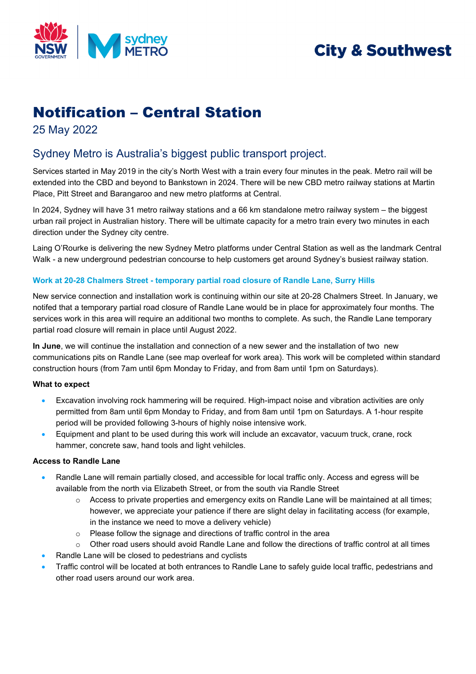

# **City & Southwest**

## Notification – Central Station

25 May 2022

### Sydney Metro is Australia's biggest public transport project.

Services started in May 2019 in the city's North West with a train every four minutes in the peak. Metro rail will be extended into the CBD and beyond to Bankstown in 2024. There will be new CBD metro railway stations at Martin Place, Pitt Street and Barangaroo and new metro platforms at Central.

In 2024, Sydney will have 31 metro railway stations and a 66 km standalone metro railway system – the biggest urban rail project in Australian history. There will be ultimate capacity for a metro train every two minutes in each direction under the Sydney city centre.

Laing O'Rourke is delivering the new Sydney Metro platforms under Central Station as well as the landmark Central Walk - a new underground pedestrian concourse to help customers get around Sydney's busiest railway station.

### **Work at 20-28 Chalmers Street - temporary partial road closure of Randle Lane, Surry Hills**

New service connection and installation work is continuing within our site at 20-28 Chalmers Street. In January, we notifed that a temporary partial road closure of Randle Lane would be in place for approximately four months. The services work in this area will require an additional two months to complete. As such, the Randle Lane temporary partial road closure will remain in place until August 2022.

**In June**, we will continue the installation and connection of a new sewer and the installation of two new communications pits on Randle Lane (see map overleaf for work area). This work will be completed within standard construction hours (from 7am until 6pm Monday to Friday, and from 8am until 1pm on Saturdays).

#### **What to expect**

- Excavation involving rock hammering will be required. High-impact noise and vibration activities are only permitted from 8am until 6pm Monday to Friday, and from 8am until 1pm on Saturdays. A 1-hour respite period will be provided following 3-hours of highly noise intensive work.
- Equipment and plant to be used during this work will include an excavator, vacuum truck, crane, rock hammer, concrete saw, hand tools and light vehilcles.

#### **Access to Randle Lane**

- Randle Lane will remain partially closed, and accessible for local traffic only. Access and egress will be available from the north via Elizabeth Street, or from the south via Randle Street
	- o Access to private properties and emergency exits on Randle Lane will be maintained at all times; however, we appreciate your patience if there are slight delay in facilitating access (for example, in the instance we need to move a delivery vehicle)
	- o Please follow the signage and directions of traffic control in the area
	- $\circ$  Other road users should avoid Randle Lane and follow the directions of traffic control at all times
- Randle Lane will be closed to pedestrians and cyclists
- Traffic control will be located at both entrances to Randle Lane to safely guide local traffic, pedestrians and other road users around our work area.